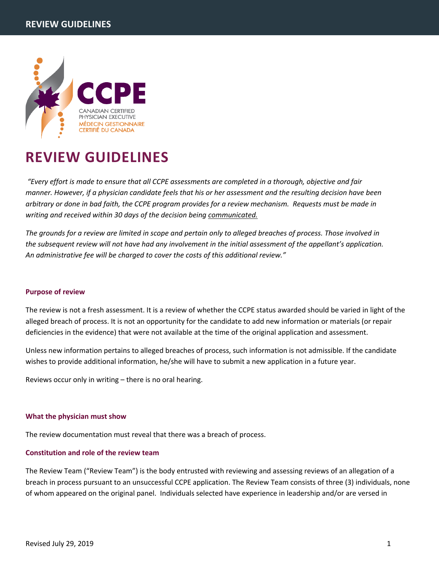

# **REVIEW GUIDELINES**

*"Every effort is made to ensure that all CCPE assessments are completed in a thorough, objective and fair manner. However, if a physician candidate feels that his or her assessment and the resulting decision have been arbitrary or done in bad faith, the CCPE program provides for a review mechanism. Requests must be made in writing and received within 30 days of the decision being communicated.*

*The grounds for a review are limited in scope and pertain only to alleged breaches of process. Those involved in the subsequent review will not have had any involvement in the initial assessment of the appellant's application. An administrative fee will be charged to cover the costs of this additional review."*

# **Purpose of review**

The review is not a fresh assessment. It is a review of whether the CCPE status awarded should be varied in light of the alleged breach of process. It is not an opportunity for the candidate to add new information or materials (or repair deficiencies in the evidence) that were not available at the time of the original application and assessment.

Unless new information pertains to alleged breaches of process, such information is not admissible. If the candidate wishes to provide additional information, he/she will have to submit a new application in a future year.

Reviews occur only in writing – there is no oral hearing.

# **What the physician must show**

The review documentation must reveal that there was a breach of process.

# **Constitution and role of the review team**

The Review Team ("Review Team") is the body entrusted with reviewing and assessing reviews of an allegation of a breach in process pursuant to an unsuccessful CCPE application. The Review Team consists of three (3) individuals, none of whom appeared on the original panel. Individuals selected have experience in leadership and/or are versed in